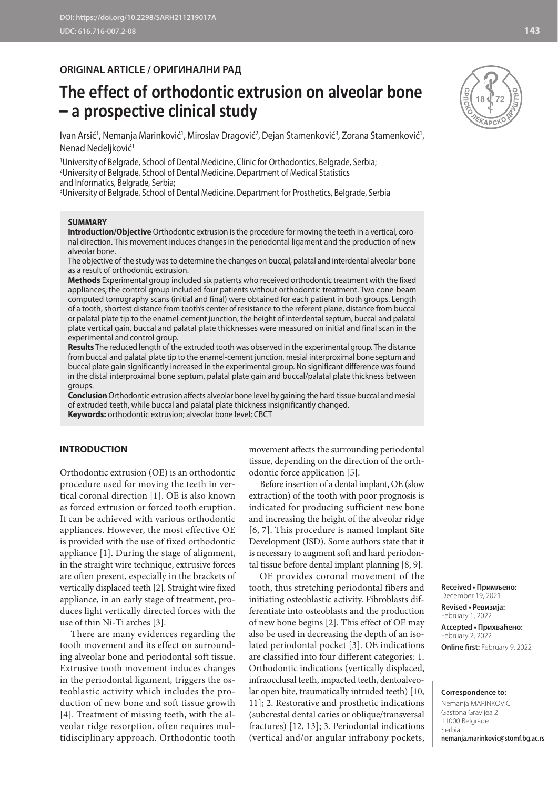## **ORIGINAL ARTICLE / ОРИГИНАЛНИ РАД**

# **The effect of orthodontic extrusion on alveolar bone – a prospective clinical study**

lvan Arsić', Nemanja Marinković', Miroslav Dragović<del>'</del>, Dejan Stamenković<sup>3</sup>, Zorana Stamenković', Nenad Nedeljković<sup>1</sup>

 University of Belgrade, School of Dental Medicine, Clinic for Orthodontics, Belgrade, Serbia; University of Belgrade, School of Dental Medicine, Department of Medical Statistics and Informatics, Belgrade, Serbia; University of Belgrade, School of Dental Medicine, Department for Prosthetics, Belgrade, Serbia

**SUMMARY**

**Introduction/Objective** Orthodontic extrusion is the procedure for moving the teeth in a vertical, coronal direction. This movement induces changes in the periodontal ligament and the production of new alveolar bone.

The objective of the study was to determine the changes on buccal, palatal and interdental alveolar bone as a result of orthodontic extrusion.

**Methods** Experimental group included six patients who received orthodontic treatment with the fixed appliances; the control group included four patients without orthodontic treatment. Two cone-beam computed tomography scans (initial and final) were obtained for each patient in both groups. Length of a tooth, shortest distance from tooth's center of resistance to the referent plane, distance from buccal or palatal plate tip to the enamel-cement junction, the height of interdental septum, buccal and palatal plate vertical gain, buccal and palatal plate thicknesses were measured on initial and final scan in the experimental and control group.

**Results** The reduced length of the extruded tooth was observed in the experimental group. The distance from buccal and palatal plate tip to the enamel-cement junction, mesial interproximal bone septum and buccal plate gain significantly increased in the experimental group. No significant difference was found in the distal interproximal bone septum, palatal plate gain and buccal/palatal plate thickness between groups.

**Conclusion** Orthodontic extrusion affects alveolar bone level by gaining the hard tissue buccal and mesial of extruded teeth, while buccal and palatal plate thickness insignificantly changed.

**Keywords:** orthodontic extrusion; alveolar bone level; CBCT

## **INTRODUCTION**

Orthodontic extrusion (OE) is an orthodontic procedure used for moving the teeth in vertical coronal direction [1]. OE is also known as forced extrusion or forced tooth eruption. It can be achieved with various orthodontic appliances. However, the most effective OE is provided with the use of fixed orthodontic appliance [1]. During the stage of alignment, in the straight wire technique, extrusive forces are often present, especially in the brackets of vertically displaced teeth [2]. Straight wire fixed appliance, in an early stage of treatment, produces light vertically directed forces with the use of thin Ni-Ti arches [3].

There are many evidences regarding the tooth movement and its effect on surrounding alveolar bone and periodontal soft tissue. Extrusive tooth movement induces changes in the periodontal ligament, triggers the osteoblastic activity which includes the production of new bone and soft tissue growth [4]. Treatment of missing teeth, with the alveolar ridge resorption, often requires multidisciplinary approach. Orthodontic tooth

movement affects the surrounding periodontal tissue, depending on the direction of the orthodontic force application [5].

Before insertion of a dental implant, OE (slow extraction) of the tooth with poor prognosis is indicated for producing sufficient new bone and increasing the height of the alveolar ridge [6, 7]. This procedure is named Implant Site Development (ISD). Some authors state that it is necessary to augment soft and hard periodontal tissue before dental implant planning [8, 9].

OE provides coronal movement of the tooth, thus stretching periodontal fibers and initiating osteoblastic activity. Fibroblasts differentiate into osteoblasts and the production of new bone begins [2]. This effect of OE may also be used in decreasing the depth of an isolated periodontal pocket [3]. OE indications are classified into four different categories: 1. Orthodontic indications (vertically displaced, infraocclusal teeth, impacted teeth, dentoalveolar open bite, traumatically intruded teeth) [10, 11]; 2. Restorative and prosthetic indications (subcrestal dental caries or oblique/transversal fractures) [12, 13]; 3. Periodontal indications (vertical and/or angular infrabony pockets,

**Received • Примљено:** 

December 19, 2021 **Revised • Ревизија:**  February 1, 2022 **Accepted • Прихваћено:** February 2, 2022 **Online first:** February 9, 2022

#### **Correspondence to:**

Nemanja MARINKOVIĆ Gastona Gravijea 2 11000 Belgrade Serbia **nemanja.marinkovic@stomf.bg.ac.rs**

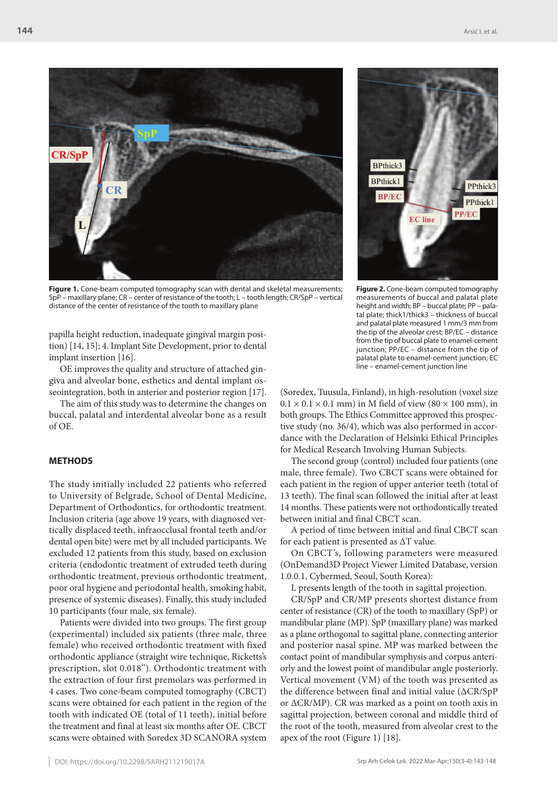

**Figure 1.** Cone-beam computed tomography scan with dental and skeletal measurements; SpP – maxillary plane; CR – center of resistance of the tooth; L – tooth length; CR/SpP – vertical distance of the center of resistance of the tooth to maxillary plane

papilla height reduction, inadequate gingival margin position) [14, 15]; 4. Implant Site Development, prior to dental implant insertion [16].

OE improves the quality and structure of attached gingiva and alveolar bone, esthetics and dental implant osseointegration, both in anterior and posterior region [17].

The aim of this study was to determine the changes on buccal, palatal and interdental alveolar bone as a result of OE.

#### **METHODS**

The study initially included 22 patients who referred to University of Belgrade, School of Dental Medicine, Department of Orthodontics, for orthodontic treatment. Inclusion criteria (age above 19 years, with diagnosed vertically displaced teeth, infraocclusal frontal teeth and/or dental open bite) were met by all included participants. We excluded 12 patients from this study, based on exclusion criteria (endodontic treatment of extruded teeth during orthodontic treatment, previous orthodontic treatment, poor oral hygiene and periodontal health, smoking habit, presence of systemic diseases). Finally, this study included 10 participants (four male, six female).

Patients were divided into two groups. The first group (experimental) included six patients (three male, three female) who received orthodontic treatment with fixed orthodontic appliance (straight wire technique, Ricketts's prescription, slot 0.018''). Orthodontic treatment with the extraction of four first premolars was performed in 4 cases. Two cone-beam computed tomography (CBCT) scans were obtained for each patient in the region of the tooth with indicated OE (total of 11 teeth), initial before the treatment and final at least six months after OE. CBCT scans were obtained with Soredex 3D SCANORA system



**Figure 2.** Cone-beam computed tomography measurements of buccal and palatal plate height and width; BP – buccal plate; PP – palatal plate; thick1/thick3 – thickness of buccal and palatal plate measured 1 mm/3 mm from the tip of the alveolar crest; BP/EC – distance from the tip of buccal plate to enamel-cement junction; PP/EC – distance from the tip of palatal plate to enamel-cement junction; EC line – enamel-cement junction line

(Soredex, Tuusula, Finland), in high-resolution (voxel size  $0.1 \times 0.1 \times 0.1$  mm) in M field of view (80  $\times$  100 mm), in both groups. The Ethics Committee approved this prospective study (no. 36/4), which was also performed in accordance with the Declaration of Helsinki Ethical Principles for Medical Research Involving Human Subjects.

The second group (control) included four patients (one male, three female). Two CBCT scans were obtained for each patient in the region of upper anterior teeth (total of 13 teeth). The final scan followed the initial after at least 14 months. These patients were not orthodontically treated between initial and final CBCT scan.

A period of time between initial and final CBCT scan for each patient is presented as ∆T value.

On CBCT's, following parameters were measured (OnDemand3D Project Viewer Limited Database, version 1.0.0.1, Cybermed, Seoul, South Korea):

L presents length of the tooth in sagittal projection.

CR/SpP and CR/MP presents shortest distance from center of resistance (CR) of the tooth to maxillary (SpP) or mandibular plane (MP). SpP (maxillary plane) was marked as a plane orthogonal to sagittal plane, connecting anterior and posterior nasal spine. MP was marked between the contact point of mandibular symphysis and corpus anteriorly and the lowest point of mandibular angle posteriorly. Vertical movement (VM) of the tooth was presented as the difference between final and initial value (∆CR/SpP or ∆CR/MP). CR was marked as a point on tooth axis in sagittal projection, between coronal and middle third of the root of the tooth, measured from alveolar crest to the apex of the root (Figure 1) [18].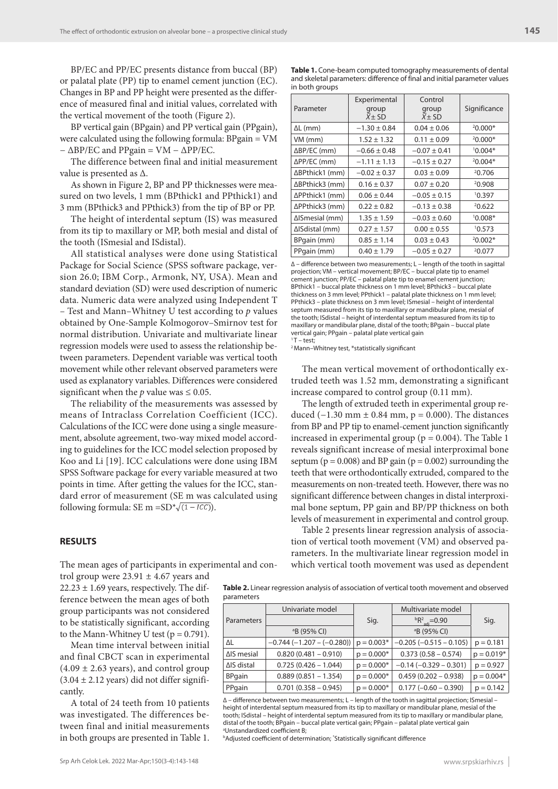BP/EC and PP/EC presents distance from buccal (BP) or palatal plate (PP) tip to enamel cement junction (EC). Changes in BP and PP height were presented as the difference of measured final and initial values, correlated with the vertical movement of the tooth (Figure 2).

BP vertical gain (BPgain) and PP vertical gain (PPgain), were calculated using the following formula: BPgain = VM  $-\Delta BP/EC$  and PPgain = VM –  $\Delta PP/EC$ .

The difference between final and initial measurement value is presented as ∆.

As shown in Figure 2, BP and PP thicknesses were measured on two levels, 1 mm (BPthick1 and PPthick1) and 3 mm (BPthick3 and PPthick3) from the tip of BP or PP.

The height of interdental septum (IS) was measured from its tip to maxillary or MP, both mesial and distal of the tooth (ISmesial and ISdistal).

All statistical analyses were done using Statistical Package for Social Science (SPSS software package, version 26.0; IBM Corp., Armonk, NY, USA). Mean and standard deviation (SD) were used description of numeric data. Numeric data were analyzed using Independent T – Test and Mann–Whitney U test according to *p* values obtained by One-Sample Kolmogorov–Smirnov test for normal distribution. Univariate and multivariate linear regression models were used to assess the relationship between parameters. Dependent variable was vertical tooth movement while other relevant observed parameters were used as explanatory variables. Differences were considered significant when the *p* value was  $\leq 0.05$ .

The reliability of the measurements was assessed by means of Intraclass Correlation Coefficient (ICC). Calculations of the ICC were done using a single measurement, absolute agreement, two-way mixed model according to guidelines for the ICC model selection proposed by Коо and Li [19]. ICC calculations were done using IBM SPSS Software package for every variable measured at two points in time. After getting the values for the ICC, standard error of measurement (SE m was calculated using following formula: SE m =  $SD^* \sqrt{(1 - ICC)}$ .

## **RESULTS**

The mean ages of participants in experimental and con-

trol group were  $23.91 \pm 4.67$  years and  $22.23 \pm 1.69$  years, respectively. The difference between the mean ages of both group participants was not considered to be statistically significant, according to the Mann-Whitney U test ( $p = 0.791$ ).

Mean time interval between initial and final CBCT scan in experimental  $(4.09 \pm 2.63 \text{ years})$ , and control group  $(3.04 \pm 2.12 \text{ years})$  did not differ significantly.

A total of 24 teeth from 10 patients was investigated. The differences between final and initial measurements in both groups are presented in Table 1.

**Table 1.** Cone-beam computed tomography measurements of dental and skeletal parameters: difference of final and initial parameter values in both groups

| Parameter           | Experimental<br>group<br>$X \pm SD$ | Control<br>group<br>$X \pm SD$ | Significance |  |
|---------------------|-------------------------------------|--------------------------------|--------------|--|
| $\Delta L$ (mm)     | $-1.30 \pm 0.84$                    | $0.04 \pm 0.06$                | $20.000*$    |  |
| VM (mm)             | $1.52 \pm 1.32$                     | $0.11 \pm 0.09$                | $20.000*$    |  |
| $\Delta BP/EC$ (mm) | $-0.66 \pm 0.48$                    | $-0.07 \pm 0.41$               | $10.004*$    |  |
| $\Delta PP/EC$ (mm) | $-1.11 \pm 1.13$                    | $-0.15 \pm 0.27$               | $20.004*$    |  |
| ∆BPthick1 (mm)      | $-0.02 \pm 0.37$                    | $0.03 \pm 0.09$                | 20.706       |  |
| ∆BPthick3 (mm)      | $0.16 \pm 0.37$                     | $0.07 \pm 0.20$                | 20.908       |  |
| ∆PPthick1 (mm)      | $0.06 \pm 0.44$                     | $-0.05 \pm 0.15$<br>10.397     |              |  |
| ∆PPthick3 (mm)      | $0.22 \pm 0.82$                     | $-0.13 \pm 0.38$               | 20.622       |  |
| ΔISmesial (mm)      | $1.35 \pm 1.59$                     | $-0.03 \pm 0.60$               | $10.008*$    |  |
| ∆ISdistal (mm)      | $0.27 \pm 1.57$                     | 10.573<br>$0.00 \pm 0.55$      |              |  |
| BPgain (mm)         | $0.85 \pm 1.14$                     | $0.03 \pm 0.43$                | $20.002*$    |  |
| PPgain (mm)         | $0.40 \pm 1.79$                     | $-0.05 \pm 0.27$               | 20.077       |  |

∆ – difference between two measurements; L – length of the tooth in sagittal projection; VM – vertical movement; BP/EC – buccal plate tip to enamel cement junction; PP/EC – palatal plate tip to enamel cement junction; BPthick1 – buccal plate thickness on 1 mm level; BPthick3 – buccal plate thickness on 3 mm level; PPthick1 – palatal plate thickness on 1 mm level; PPthick3 – plate thickness on 3 mm level; ISmesial – height of interdental septum measured from its tip to maxillary or mandibular plane, mesial of the tooth; ISdistal – height of interdental septum measured from its tip to maxillary or mandibular plane, distal of the tooth; BPgain – buccal plate vertical gain; PPgain – palatal plate vertical gain  $1T - \text{test}$ 

2 Mann–Whitney test, \*statistically significant

The mean vertical movement of orthodontically extruded teeth was 1.52 mm, demonstrating a significant increase compared to control group (0.11 mm).

The length of extruded teeth in experimental group reduced (−1.30 mm  $± 0.84$  mm, p = 0.000). The distances from BP and PP tip to enamel-cement junction significantly increased in experimental group ( $p = 0.004$ ). The Table 1 reveals significant increase of mesial interproximal bone septum ( $p = 0.008$ ) and BP gain ( $p = 0.002$ ) surrounding the teeth that were orthodontically extruded, compared to the measurements on non-treated teeth. However, there was no significant difference between changes in distal interproximal bone septum, PP gain and BP/PP thickness on both levels of measurement in experimental and control group.

Table 2 presents linear regression analysis of association of vertical tooth movement (VM) and observed parameters. In the multivariate linear regression model in which vertical tooth movement was used as dependent

**Table 2.** Linear regression analysis of association of vertical tooth movement and observed parameters

| paiglictcle        |                                  |              |                                   |              |  |  |
|--------------------|----------------------------------|--------------|-----------------------------------|--------------|--|--|
|                    | Univariate model                 |              | Multivariate model                |              |  |  |
| <b>Parameters</b>  |                                  | Sig.         | ${}^{b}R^{2}_{\text{adj}} = 0.90$ | Sig.         |  |  |
|                    | <sup>a</sup> B (95% CI)          |              | <sup>a</sup> B (95% CI)           |              |  |  |
| ΔL                 | $-0.744$ ( $-1.207 - (-0.280)$ ) | $p = 0.003*$ | $-0.205$ ( $-0.515 - 0.105$ )     | $p = 0.181$  |  |  |
| $\Delta$ IS mesial | $0.820(0.481 - 0.910)$           | $p = 0.000*$ | $0.373(0.58 - 0.574)$             | $p = 0.019*$ |  |  |
| $\Delta$ IS distal | $0.725(0.426 - 1.044)$           | $p = 0.000*$ | $-0.14$ ( $-0.329 - 0.301$ )      | $p = 0.927$  |  |  |
| <b>BPgain</b>      | $0.889(0.851 - 1.354)$           | $p = 0.000*$ | $0.459(0.202 - 0.938)$            | $p = 0.004*$ |  |  |
| PPgain             | $0.701(0.358 - 0.945)$           | $p = 0.000*$ | $0.177 (-0.60 - 0.390)$           | $p = 0.142$  |  |  |

∆ – difference between two measurements; L – length of the tooth in sagittal projection; ISmesial – height of interdental septum measured from its tip to maxillary or mandibular plane, mesial of the tooth; ISdistal – height of interdental septum measured from its tip to maxillary or mandibular plane, distal of the tooth; BPgain – buccal plate vertical gain; PPgain – palatal plate vertical gain a Unstandardized coefficient B;

**bAdjusted coefficient of determination; 'Statistically significant difference**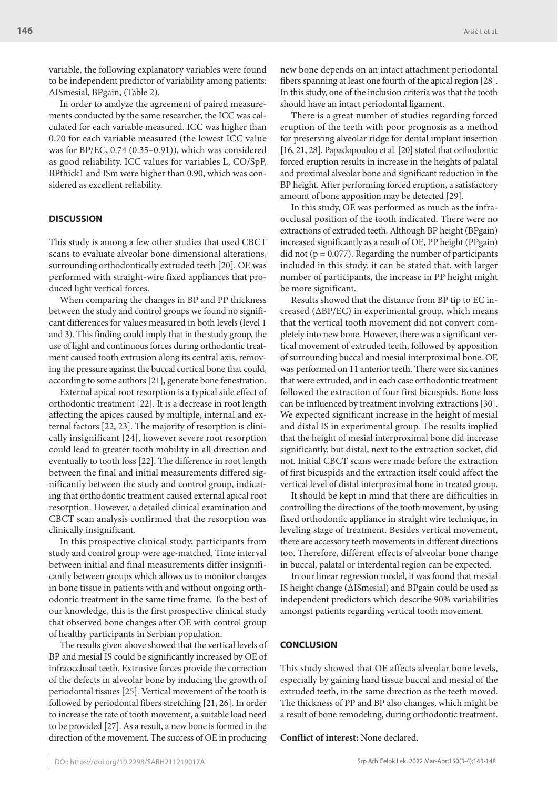variable, the following explanatory variables were found to be independent predictor of variability among patients: ∆ISmesial, BPgain, (Table 2).

In order to analyze the agreement of paired measurements conducted by the same researcher, the ICC was calculated for each variable measured. ICC was higher than 0.70 for each variable measured (the lowest ICC value was for BP/EC, 0.74 (0.35–0.91)), which was considered as good reliability. ICC values for variables L, CO/SpP, BPthick1 and ISm were higher than 0.90, which was considered as excellent reliability.

## **DISCUSSION**

This study is among a few other studies that used CBCT scans to evaluate alveolar bone dimensional alterations, surrounding orthodontically extruded teeth [20]. OE was performed with straight-wire fixed appliances that produced light vertical forces.

When comparing the changes in BP and PP thickness between the study and control groups we found no significant differences for values measured in both levels (level 1 and 3). This finding could imply that in the study group, the use of light and continuous forces during orthodontic treatment caused tooth extrusion along its central axis, removing the pressure against the buccal cortical bone that could, according to some authors [21], generate bone fenestration.

External apical root resorption is a typical side effect of orthodontic treatment [22]. It is a decrease in root length affecting the apices caused by multiple, internal and external factors [22, 23]. The majority of resorption is clinically insignificant [24], however severe root resorption could lead to greater tooth mobility in all direction and eventually to tooth loss [22]. The difference in root length between the final and initial measurements differed significantly between the study and control group, indicating that orthodontic treatment caused external apical root resorption. However, a detailed clinical examination and CBCT scan analysis confirmed that the resorption was clinically insignificant.

In this prospective clinical study, participants from study and control group were age-matched. Time interval between initial and final measurements differ insignificantly between groups which allows us to monitor changes in bone tissue in patients with and without ongoing orthodontic treatment in the same time frame. To the best of our knowledge, this is the first prospective clinical study that observed bone changes after OE with control group of healthy participants in Serbian population.

The results given above showed that the vertical levels of BP and mesial IS could be significantly increased by OE of infraocclusal teeth. Extrusive forces provide the correction of the defects in alveolar bone by inducing the growth of periodontal tissues [25]. Vertical movement of the tooth is followed by periodontal fibers stretching [21, 26]. In order to increase the rate of tooth movement, a suitable load need to be provided [27]. As a result, a new bone is formed in the direction of the movement. The success of OE in producing new bone depends on an intact attachment periodontal fibers spanning at least one fourth of the apical region [28]. In this study, one of the inclusion criteria was that the tooth should have an intact periodontal ligament.

There is a great number of studies regarding forced eruption of the teeth with poor prognosis as a method for preserving alveolar ridge for dental implant insertion [16, 21, 28]. Papadopoulou et al. [20] stated that orthodontic forced eruption results in increase in the heights of palatal and proximal alveolar bone and significant reduction in the BP height. After performing forced eruption, a satisfactory amount of bone apposition may be detected [29].

In this study, OE was performed as much as the infraocclusal position of the tooth indicated. There were no extractions of extruded teeth. Although BP height (BPgain) increased significantly as a result of OE, PP height (PPgain) did not ( $p = 0.077$ ). Regarding the number of participants included in this study, it can be stated that, with larger number of participants, the increase in PP height might be more significant.

Results showed that the distance from BP tip to EC increased (∆BP/EC) in experimental group, which means that the vertical tooth movement did not convert completely into new bone. However, there was a significant vertical movement of extruded teeth, followed by apposition of surrounding buccal and mesial interproximal bone. OE was performed on 11 anterior teeth. There were six canines that were extruded, and in each case orthodontic treatment followed the extraction of four first bicuspids. Bone loss can be influenced by treatment involving extractions [30]. We expected significant increase in the height of mesial and distal IS in experimental group. The results implied that the height of mesial interproximal bone did increase significantly, but distal, next to the extraction socket, did not. Initial CBCT scans were made before the extraction of first bicuspids and the extraction itself could affect the vertical level of distal interproximal bone in treated group.

It should be kept in mind that there are difficulties in controlling the directions of the tooth movement, by using fixed orthodontic appliance in straight wire technique, in leveling stage of treatment. Besides vertical movement, there are accessory teeth movements in different directions too. Therefore, different effects of alveolar bone change in buccal, palatal or interdental region can be expected.

In our linear regression model, it was found that mesial IS height change (∆ISmesial) and BPgain could be used as independent predictors which describe 90% variabilities amongst patients regarding vertical tooth movement.

#### **CONCLUSION**

This study showed that OE affects alveolar bone levels, especially by gaining hard tissue buccal and mesial of the extruded teeth, in the same direction as the teeth moved. The thickness of PP and BP also changes, which might be a result of bone remodeling, during orthodontic treatment.

**Conflict of interest:** None declared.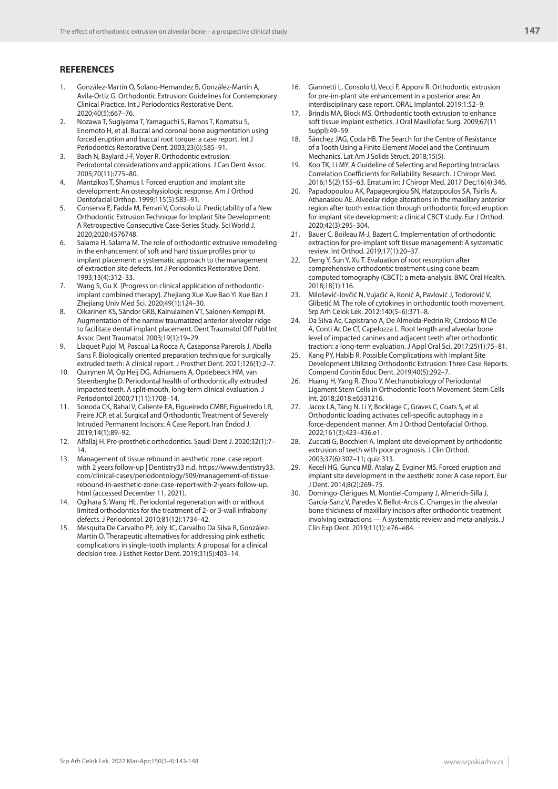## **REFERENCES**

- 1. González-Martín O, Solano-Hernandez B, González-Martín A, Avila-Ortiz G. Orthodontic Extrusion: Guidelines for Contemporary Clinical Practice. Int J Periodontics Restorative Dent. 2020;40(5):667–76.
- 2. Nozawa T, Sugiyama T, Yamaguchi S, Ramos T, Komatsu S, Enomoto H, et al. Buccal and coronal bone augmentation using forced eruption and buccal root torque: a case report. Int J Periodontics Restorative Dent. 2003;23(6):585–91.
- 3. Bach N, Baylard J-F, Voyer R. Orthodontic extrusion: Periodontal considerations and applications. J Can Dent Assoc. 2005;70(11):775–80.
- 4. Mantzikos T, Shamus I. Forced eruption and implant site development: An osteophysiologic response. Am J Orthod Dentofacial Orthop. 1999;115(5):583–91.
- 5. Conserva E, Fadda M, Ferrari V, Consolo U. Predictability of a New Orthodontic Extrusion Technique for Implant Site Development: A Retrospective Consecutive Case-Series Study. Sci World J. 2020;2020:4576748.
- 6. Salama H, Salama M. The role of orthodontic extrusive remodeling in the enhancement of soft and hard tissue profiles prior to implant placement: a systematic approach to the management of extraction site defects. Int J Periodontics Restorative Dent. 1993;13(4):312–33.
- 7. Wang S, Gu X. [Progress on clinical application of orthodonticimplant combined therapy]. Zhejiang Xue Xue Bao Yi Xue Ban J Zhejiang Univ Med Sci. 2020;49(1):124–30.
- 8. Oikarinen KS, Sàndor GKB, Kainulainen VT, Salonen-Kemppi M. Augmentation of the narrow traumatized anterior alveolar ridge to facilitate dental implant placement. Dent Traumatol Off Publ Int Assoc Dent Traumatol. 2003;19(1):19–29.
- 9. Llaquet Pujol M, Pascual La Rocca A, Casaponsa Parerols J, Abella Sans F. Biologically oriented preparation technique for surgically extruded teeth: A clinical report. J Prosthet Dent. 2021;126(1):2–7.
- 10. Quirynen M, Op Heij DG, Adriansens A, Opdebeeck HM, van Steenberghe D. Periodontal health of orthodontically extruded impacted teeth. A split-mouth, long-term clinical evaluation. J Periodontol 2000;71(11):1708–14.
- 11. Sonoda CK, Rahal V, Caliente EA, Figueiredo CMBF, Figueiredo LR, Freire JCP, et al. Surgical and Orthodontic Treatment of Severely Intruded Permanent Incisors: A Case Report. Iran Endod J. 2019;14(1):89–92.
- 12. Alfallaj H. Pre-prosthetic orthodontics. Saudi Dent J. 2020;32(1):7– 14.
- 13. Management of tissue rebound in aesthetic zone. case report with 2 years follow-up | Dentistry33 n.d. https://www.dentistry33. com/clinical-cases/periodontology/509/management-of-tissuerebound-in-aesthetic-zone-case-report-with-2-years-follow-up. html (accessed December 11, 2021).
- 14. Ogihara S, Wang HL. Periodontal regeneration with or without limited orthodontics for the treatment of 2- or 3-wall infrabony defects. J Periodontol. 2010;81(12):1734–42.
- 15. Mesquita De Carvalho PF, Joly JC, Carvalho Da Silva R, González-Martín O. Therapeutic alternatives for addressing pink esthetic complications in single-tooth implants: A proposal for a clinical decision tree. J Esthet Restor Dent. 2019;31(5):403–14.
- 16. Giannetti L, Consolo U, Vecci F, Apponi R. Orthodontic extrusion for pre-im-plant site enhancement in a posterior area: An interdisciplinary case report. ORAL Implantol. 2019;1:52–9.
- Brindis MA, Block MS. Orthodontic tooth extrusion to enhance soft tissue implant esthetics. J Oral Maxillofac Surg. 2009;67(11 Suppl):49–59.
- 18. Sánchez JAG, Coda HB. The Search for the Centre of Resistance of a Tooth Using a Finite Element Model and the Continuum Mechanics. Lat Am J Solids Struct. 2018;15(5).
- 19. Koo TK, Li MY. A Guideline of Selecting and Reporting Intraclass Correlation Coefficients for Reliability Research. J Chiropr Med. 2016;15(2):155–63. Erratum in: J Chiropr Med. 2017 Dec;16(4):346.
- 20. Papadopoulou AK, Papageorgiou SN, Hatzopoulos SA, Tsirlis A, Athanasiou AE. Alveolar ridge alterations in the maxillary anterior region after tooth extraction through orthodontic forced eruption for implant site development: a clinical CBCT study. Eur J Orthod. 2020;42(3):295–304.
- 21. Bauer C, Boileau M-J, Bazert C. Implementation of orthodontic extraction for pre-implant soft tissue management: A systematic review. Int Orthod. 2019;17(1):20–37.
- 22. Deng Y, Sun Y, Xu T. Evaluation of root resorption after comprehensive orthodontic treatment using cone beam computed tomography (CBCT): a meta-analysis. BMC Oral Health. 2018;18(1):116.
- 23. Milošević-Jovčić N, Vujačić A, Konić A, Pavlović J, Todorović V, Glibetić M. The role of cytokines in orthodontic tooth movement. Srp Arh Celok Lek. 2012;140(5–6):371–8.
- 24. Da Silva Ac, Capistrano A, De Almeida-Pedrin Rr, Cardoso M De A, Conti Ac De Cf, Capelozza L. Root length and alveolar bone level of impacted canines and adjacent teeth after orthodontic traction: a long-term evaluation. J Appl Oral Sci. 2017;25(1):75–81.
- Kang PY, Habib R. Possible Complications with Implant Site Development Utilizing Orthodontic Extrusion: Three Case Reports. Compend Contin Educ Dent. 2019;40(5):292–7.
- 26. Huang H, Yang R, Zhou Y. Mechanobiology of Periodontal Ligament Stem Cells in Orthodontic Tooth Movement. Stem Cells Int. 2018;2018:e6531216.
- 27. Jacox LA, Tang N, Li Y, Bocklage C, Graves C, Coats S, et al. Orthodontic loading activates cell-specific autophagy in a force-dependent manner. Am J Orthod Dentofacial Orthop. 2022;161(3):423–436.e1.
- 28. Zuccati G, Bocchieri A. Implant site development by orthodontic extrusion of teeth with poor prognosis. J Clin Orthod. 2003;37(6):307–11; quiz 313.
- 29. Keceli HG, Guncu MB, Atalay Z, Evginer MS. Forced eruption and implant site development in the aesthetic zone: A case report. Eur J Dent. 2014;8(2):269–75.
- 30. Domingo-Clérigues M, Montiel-Company J, Almerich-Silla J, García-Sanz V, Paredes V, Bellot-Arcis C. Changes in the alveolar bone thickness of maxillary incisors after orthodontic treatment involving extractions — A systematic review and meta-analysis. J Clin Exp Dent. 2019;11(1): e76–e84.